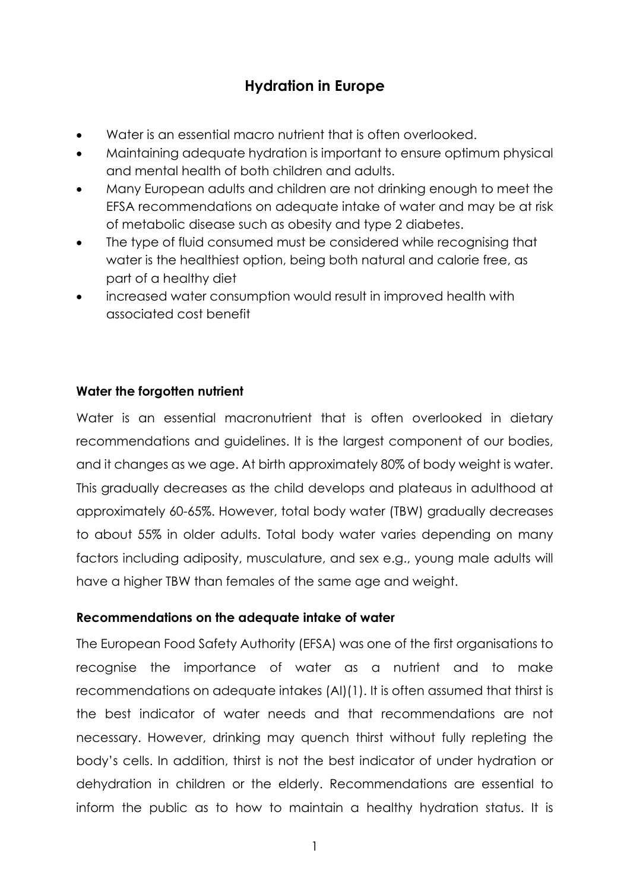# **Hydration in Europe**

- Water is an essential macro nutrient that is often overlooked.
- Maintaining adequate hydration is important to ensure optimum physical and mental health of both children and adults.
- Many European adults and children are not drinking enough to meet the EFSA recommendations on adequate intake of water and may be at risk of metabolic disease such as obesity and type 2 diabetes.
- The type of fluid consumed must be considered while recognising that water is the healthiest option, being both natural and calorie free, as part of a healthy diet
- increased water consumption would result in improved health with associated cost benefit

## **Water the forgotten nutrient**

Water is an essential macronutrient that is often overlooked in dietary recommendations and guidelines. It is the largest component of our bodies, and it changes as we age. At birth approximately 80% of body weight is water. This gradually decreases as the child develops and plateaus in adulthood at approximately 60-65%. However, total body water (TBW) gradually decreases to about 55% in older adults. Total body water varies depending on many factors including adiposity, musculature, and sex e.g., young male adults will have a higher TBW than females of the same age and weight.

## **Recommendations on the adequate intake of water**

The European Food Safety Authority (EFSA) was one of the first organisations to recognise the importance of water as a nutrient and to make recommendations on adequate intakes (AI)(1). It is often assumed that thirst is the best indicator of water needs and that recommendations are not necessary. However, drinking may quench thirst without fully repleting the body's cells. In addition, thirst is not the best indicator of under hydration or dehydration in children or the elderly. Recommendations are essential to inform the public as to how to maintain a healthy hydration status. It is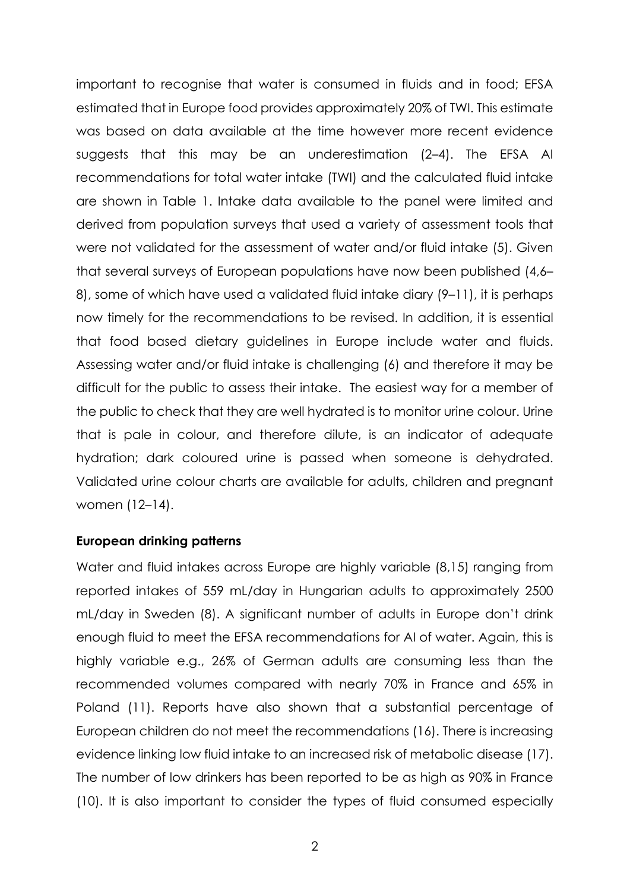important to recognise that water is consumed in fluids and in food; EFSA estimated that in Europe food provides approximately 20% of TWI. This estimate was based on data available at the time however more recent evidence suggests that this may be an underestimation (2–4). The EFSA AI recommendations for total water intake (TWI) and the calculated fluid intake are shown in Table 1. Intake data available to the panel were limited and derived from population surveys that used a variety of assessment tools that were not validated for the assessment of water and/or fluid intake (5). Given that several surveys of European populations have now been published (4,6– 8), some of which have used a validated fluid intake diary (9–11), it is perhaps now timely for the recommendations to be revised. In addition, it is essential that food based dietary guidelines in Europe include water and fluids. Assessing water and/or fluid intake is challenging (6) and therefore it may be difficult for the public to assess their intake. The easiest way for a member of the public to check that they are well hydrated is to monitor urine colour. Urine that is pale in colour, and therefore dilute, is an indicator of adequate hydration; dark coloured urine is passed when someone is dehydrated. Validated urine colour charts are available for adults, children and pregnant women (12–14).

#### **European drinking patterns**

Water and fluid intakes across Europe are highly variable (8,15) ranging from reported intakes of 559 mL/day in Hungarian adults to approximately 2500 mL/day in Sweden (8). A significant number of adults in Europe don't drink enough fluid to meet the EFSA recommendations for AI of water. Again, this is highly variable e.g., 26% of German adults are consuming less than the recommended volumes compared with nearly 70% in France and 65% in Poland (11). Reports have also shown that a substantial percentage of European children do not meet the recommendations (16). There is increasing evidence linking low fluid intake to an increased risk of metabolic disease (17). The number of low drinkers has been reported to be as high as 90% in France (10). It is also important to consider the types of fluid consumed especially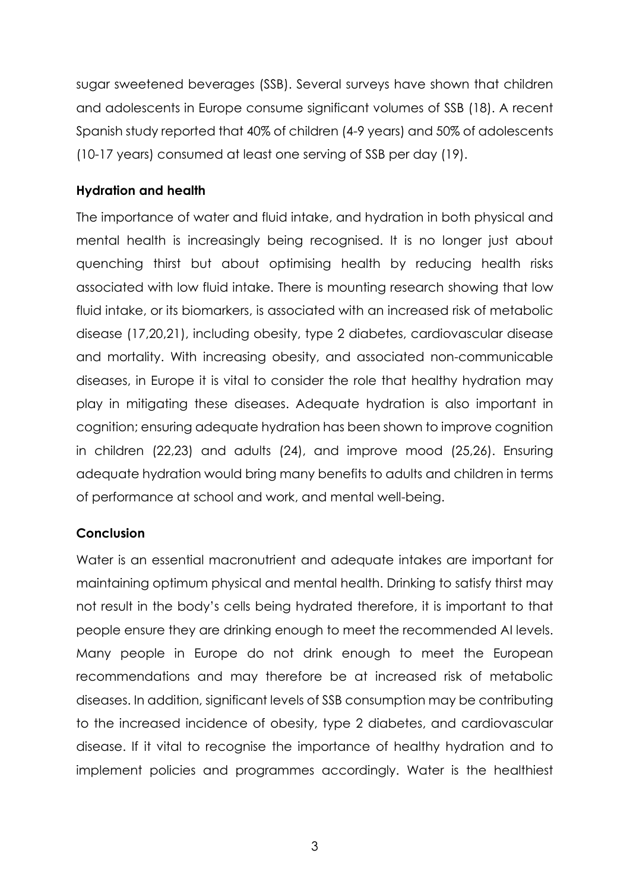sugar sweetened beverages (SSB). Several surveys have shown that children and adolescents in Europe consume significant volumes of SSB (18). A recent Spanish study reported that 40% of children (4-9 years) and 50% of adolescents (10-17 years) consumed at least one serving of SSB per day (19).

### **Hydration and health**

The importance of water and fluid intake, and hydration in both physical and mental health is increasingly being recognised. It is no longer just about quenching thirst but about optimising health by reducing health risks associated with low fluid intake. There is mounting research showing that low fluid intake, or its biomarkers, is associated with an increased risk of metabolic disease (17,20,21), including obesity, type 2 diabetes, cardiovascular disease and mortality. With increasing obesity, and associated non-communicable diseases, in Europe it is vital to consider the role that healthy hydration may play in mitigating these diseases. Adequate hydration is also important in cognition; ensuring adequate hydration has been shown to improve cognition in children (22,23) and adults (24), and improve mood (25,26). Ensuring adequate hydration would bring many benefits to adults and children in terms of performance at school and work, and mental well-being.

### **Conclusion**

Water is an essential macronutrient and adequate intakes are important for maintaining optimum physical and mental health. Drinking to satisfy thirst may not result in the body's cells being hydrated therefore, it is important to that people ensure they are drinking enough to meet the recommended AI levels. Many people in Europe do not drink enough to meet the European recommendations and may therefore be at increased risk of metabolic diseases. In addition, significant levels of SSB consumption may be contributing to the increased incidence of obesity, type 2 diabetes, and cardiovascular disease. If it vital to recognise the importance of healthy hydration and to implement policies and programmes accordingly. Water is the healthiest

3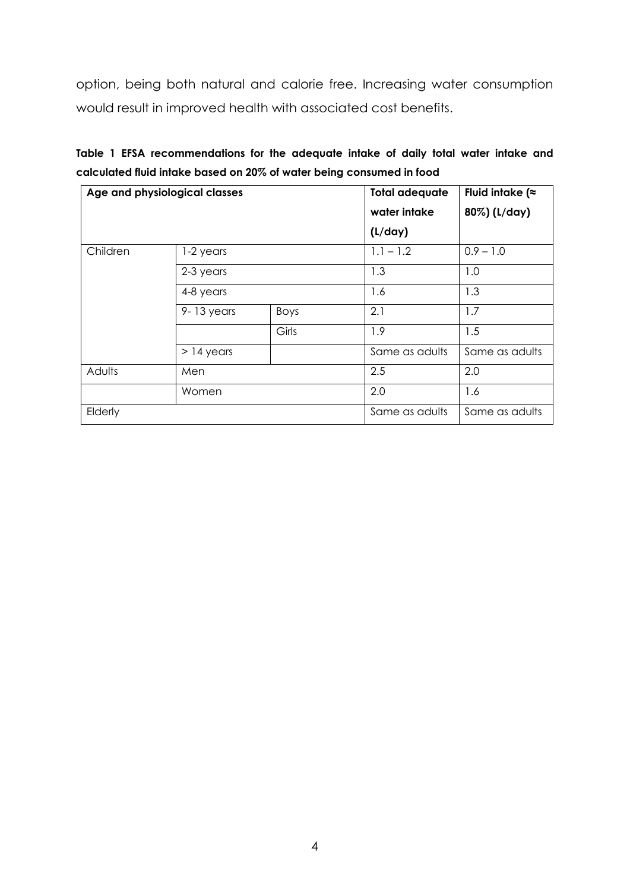option, being both natural and calorie free. Increasing water consumption would result in improved health with associated cost benefits.

|                                                                      |  |  |  | Table 1 EFSA recommendations for the adequate intake of daily total water intake and |  |  |  |  |  |  |  |  |  |  |
|----------------------------------------------------------------------|--|--|--|--------------------------------------------------------------------------------------|--|--|--|--|--|--|--|--|--|--|
| calculated fluid intake based on 20% of water being consumed in food |  |  |  |                                                                                      |  |  |  |  |  |  |  |  |  |  |

|          | Age and physiological classes | <b>Total adequate</b> | Fluid intake ( $\approx$ |                |  |
|----------|-------------------------------|-----------------------|--------------------------|----------------|--|
|          |                               |                       | water intake             | 80%) (L/day)   |  |
|          |                               |                       | (L/day)                  |                |  |
| Children | 1-2 years                     |                       | $1.1 - 1.2$              | $0.9 - 1.0$    |  |
|          | 2-3 years                     |                       | 1.3                      | 1.0            |  |
|          | 4-8 years                     |                       | 1.6                      | 1.3            |  |
|          | $9 - 13$ years                | Boys                  | 2.1                      | 1.7            |  |
|          |                               | Girls                 | 1.9                      | 1.5            |  |
|          | $>$ 14 years                  |                       | Same as adults           | Same as adults |  |
| Adults   | Men                           |                       | 2.5                      | 2.0            |  |
|          | Women                         |                       | 2.0                      | 1.6            |  |
| Elderly  |                               |                       | Same as adults           | Same as adults |  |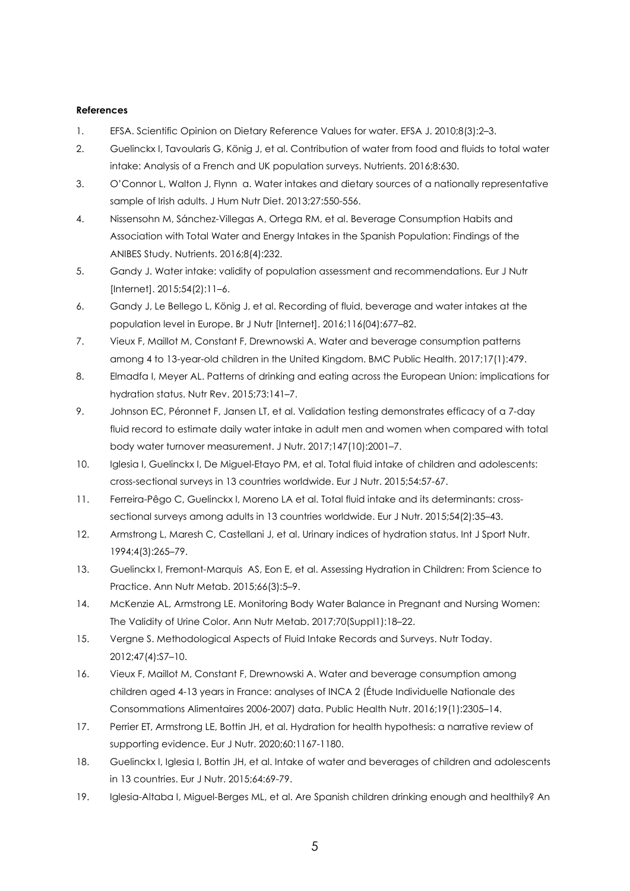#### **References**

- 1. EFSA. Scientific Opinion on Dietary Reference Values for water. EFSA J. 2010;8(3):2–3.
- 2. Guelinckx I, Tavoularis G, König J, et al. Contribution of water from food and fluids to total water intake: Analysis of a French and UK population surveys. Nutrients. 2016;8:630.
- 3. O'Connor L, Walton J, Flynn a. Water intakes and dietary sources of a nationally representative sample of Irish adults. J Hum Nutr Diet. 2013;27:550-556.
- 4. Nissensohn M, Sánchez-Villegas A, Ortega RM, et al. Beverage Consumption Habits and Association with Total Water and Energy Intakes in the Spanish Population: Findings of the ANIBES Study. Nutrients. 2016;8(4):232.
- 5. Gandy J. Water intake: validity of population assessment and recommendations. Eur J Nutr [Internet]. 2015;54(2):11–6.
- 6. Gandy J, Le Bellego L, König J, et al. Recording of fluid, beverage and water intakes at the population level in Europe. Br J Nutr [Internet]. 2016;116(04):677–82.
- 7. Vieux F, Maillot M, Constant F, Drewnowski A. Water and beverage consumption patterns among 4 to 13-year-old children in the United Kingdom. BMC Public Health. 2017;17(1):479.
- 8. Elmadfa I, Meyer AL. Patterns of drinking and eating across the European Union: implications for hydration status. Nutr Rev. 2015;73:141–7.
- 9. Johnson EC, Péronnet F, Jansen LT, et al. Validation testing demonstrates efficacy of a 7-day fluid record to estimate daily water intake in adult men and women when compared with total body water turnover measurement. J Nutr. 2017;147(10):2001–7.
- 10. Iglesia I, Guelinckx I, De Miguel-Etayo PM, et al. Total fluid intake of children and adolescents: cross-sectional surveys in 13 countries worldwide. Eur J Nutr. 2015;54:57-67.
- 11. Ferreira-Pêgo C, Guelinckx I, Moreno LA et al. Total fluid intake and its determinants: crosssectional surveys among adults in 13 countries worldwide. Eur J Nutr. 2015;54(2):35–43.
- 12. Armstrong L, Maresh C, Castellani J, et al. Urinary indices of hydration status. Int J Sport Nutr. 1994;4(3):265–79.
- 13. Guelinckx I, Fremont-Marquis AS, Eon E, et al. Assessing Hydration in Children: From Science to Practice. Ann Nutr Metab. 2015;66(3):5–9.
- 14. McKenzie AL, Armstrong LE. Monitoring Body Water Balance in Pregnant and Nursing Women: The Validity of Urine Color. Ann Nutr Metab. 2017;70(Suppl1):18–22.
- 15. Vergne S. Methodological Aspects of Fluid Intake Records and Surveys. Nutr Today. 2012;47(4):S7–10.
- 16. Vieux F, Maillot M, Constant F, Drewnowski A. Water and beverage consumption among children aged 4-13 years in France: analyses of INCA 2 (Étude Individuelle Nationale des Consommations Alimentaires 2006-2007) data. Public Health Nutr. 2016;19(1):2305–14.
- 17. Perrier ET, Armstrong LE, Bottin JH, et al. Hydration for health hypothesis: a narrative review of supporting evidence. Eur J Nutr. 2020;60:1167-1180.
- 18. Guelinckx I, Iglesia I, Bottin JH, et al. Intake of water and beverages of children and adolescents in 13 countries. Eur J Nutr. 2015;64:69-79.
- 19. Iglesia-Altaba I, Miguel-Berges ML, et al. Are Spanish children drinking enough and healthily? An